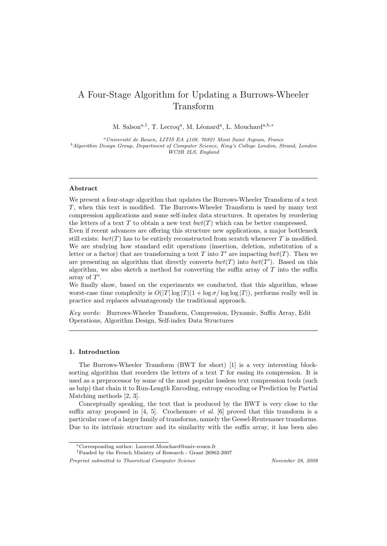# A Four-Stage Algorithm for Updating a Burrows-Wheeler Transform

M. Salson<sup>a,1</sup>, T. Lecroq<sup>a</sup>, M. Léonard<sup>a</sup>, L. Mouchard<sup>a,b,\*</sup>

 $^{a}$ Université de Rouen, LITIS EA 4108, 76821 Mont Saint Aignan, France <sup>b</sup>Algorithm Design Group, Department of Computer Science, King's College London, Strand, London WC2R 2LS, England

## Abstract

We present a four-stage algorithm that updates the Burrows-Wheeler Transform of a text T, when this text is modified. The Burrows-Wheeler Transform is used by many text compression applications and some self-index data structures. It operates by reordering the letters of a text  $T$  to obtain a new text  $bwt(T)$  which can be better compressed.

Even if recent advances are offering this structure new applications, a major bottleneck still exists:  $bwt(T)$  has to be entirely reconstructed from scratch whenever T is modified. We are studying how standard edit operations (insertion, deletion, substitution of a letter or a factor) that are transforming a text T into T' are impacting  $bwt(T)$ . Then we are presenting an algorithm that directly converts  $bwt(T)$  into  $bwt(T')$ . Based on this algorithm, we also sketch a method for converting the suffix array of  $T$  into the suffix array of  $T'$ .

We finally show, based on the experiments we conducted, that this algorithm, whose worst-case time complexity is  $O(|T| \log |T| (1 + \log \sigma / \log \log |T|)$ , performs really well in practice and replaces advantageously the traditional approach.

Key words: Burrows-Wheeler Transform, Compression, Dynamic, Suffix Array, Edit Operations, Algorithm Design, Self-index Data Structures

# 1. Introduction

The Burrows-Wheeler Transform (BWT for short) [1] is a very interesting blocksorting algorithm that reorders the letters of a text T for easing its compression. It is used as a preprocessor by some of the most popular lossless text compression tools (such as bzip) that chain it to Run-Length Encoding, entropy encoding or Prediction by Partial Matching methods [2, 3].

Conceptually speaking, the text that is produced by the BWT is very close to the suffix array proposed in  $[4, 5]$ . Crochemore *et al.* [6] proved that this transform is a particular case of a larger family of transforms, namely the Gessel-Reutenauer transforms. Due to its intrinsic structure and its similarity with the suffix array, it has been also

Preprint submitted to Theoretical Computer Science November 28, 2008

<sup>∗</sup>Corresponding author: Laurent.Mouchard@univ-rouen.fr

<sup>1</sup>Funded by the French Ministry of Research - Grant 26962-2007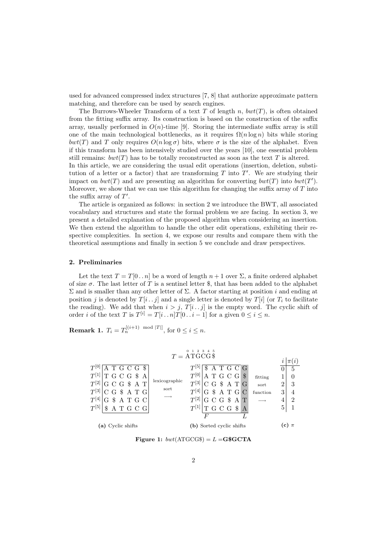used for advanced compressed index structures [7, 8] that authorize approximate pattern matching, and therefore can be used by search engines.

The Burrows-Wheeler Transform of a text T of length n,  $bwt(T)$ , is often obtained from the fitting suffix array. Its construction is based on the construction of the suffix array, usually performed in  $O(n)$ -time [9]. Storing the intermediate suffix array is still one of the main technological bottlenecks, as it requires  $\Omega(n \log n)$  bits while storing bwt(T) and T only requires  $O(n \log \sigma)$  bits, where  $\sigma$  is the size of the alphabet. Even if this transform has been intensively studied over the years [10], one essential problem still remains:  $bwt(T)$  has to be totally reconstructed as soon as the text T is altered. In this article, we are considering the usual edit operations (insertion, deletion, substitution of a letter or a factor) that are transforming  $T$  into  $T'$ . We are studying their impact on  $bwt(T)$  and are presenting an algorithm for converting  $bwt(T)$  into  $bwt(T')$ . Moreover, we show that we can use this algorithm for changing the suffix array of  $T$  into the suffix array of  $T'$ .

The article is organized as follows: in section 2 we introduce the BWT, all associated vocabulary and structures and state the formal problem we are facing. In section 3, we present a detailed explanation of the proposed algorithm when considering an insertion. We then extend the algorithm to handle the other edit operations, exhibiting their respective complexities. In section 4, we expose our results and compare them with the theoretical assumptions and finally in section 5 we conclude and draw perspectives.

#### 2. Preliminaries

Let the text  $T = T[0..n]$  be a word of length  $n + 1$  over  $\Sigma$ , a finite ordered alphabet of size  $\sigma$ . The last letter of T is a sentinel letter \$, that has been added to the alphabet Σ and is smaller than any other letter of Σ. A factor starting at position i and ending at position j is denoted by  $T[i \cdot j]$  and a single letter is denoted by  $T[i]$  (or  $T_i$  to facilitate the reading). We add that when  $i > j$ ,  $T[i \dots j]$  is the empty word. The cyclic shift of order *i* of the text T is  $T^{[i]} = T[i \tildot n]T[0 \tildot i - 1]$  for a given  $0 \le i \le n$ .

**Remark 1.**  $T_i = T_n^{[(i+1) \mod |T|]}$ , for  $0 \le i \le n$ .



Figure 1:  $bwt(ATGCG\$ ) =  $L = G$ §GCTA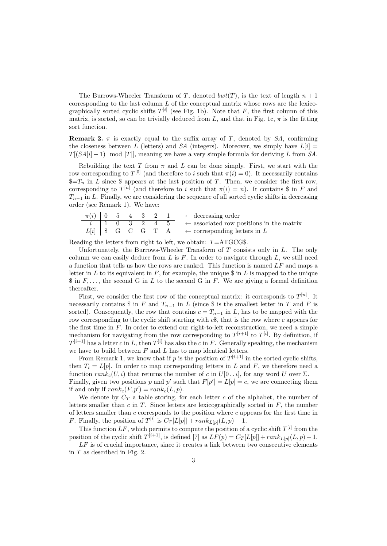The Burrows-Wheeler Transform of T, denoted  $bwt(T)$ , is the text of length  $n + 1$ corresponding to the last column  $L$  of the conceptual matrix whose rows are the lexicographically sorted cyclic shifts  $T^{[i]}$  (see Fig. 1b). Note that F, the first column of this matrix, is sorted, so can be trivially deduced from L, and that in Fig. 1c,  $\pi$  is the fitting sort function.

**Remark 2.**  $\pi$  is exactly equal to the suffix array of T, denoted by SA, confirming the closeness between L (letters) and SA (integers). Moreover, we simply have  $L[i] =$  $T[(SA[i] - 1) \mod |T|]$ , meaning we have a very simple formula for deriving L from SA.

Rebuilding the text T from  $\pi$  and L can be done simply. First, we start with the row corresponding to  $T^{[0]}$  (and therefore to i such that  $\pi(i) = 0$ ). It necessarily contains  $\overline{S} = T_n$  in L since  $\hat{S}$  appears at the last position of T. Then, we consider the first row, corresponding to  $T^{[n]}$  (and therefore to i such that  $\pi(i) = n$ ). It contains \$ in F and  $T_{n-1}$  in L. Finally, we are considering the sequence of all sorted cyclic shifts in decreasing order (see Remark 1). We have:

|  |  |  | $\pi(i)$   0 5 4 3 2 1 $\leftarrow$ decreasing order                                                       |
|--|--|--|------------------------------------------------------------------------------------------------------------|
|  |  |  | $i \mid 1 \quad 0 \quad 3 \quad 2 \quad 4 \quad 5 \quad \leftarrow$ associated row positions in the matrix |
|  |  |  | $L[i]$ \$ G C G T A $\leftarrow$ corresponding letters in L                                                |

Reading the letters from right to left, we obtain:  $T=ATGCG$$ .

Unfortunately, the Burrows-Wheeler Transform of  $T$  consists only in  $L$ . The only column we can easily deduce from  $L$  is  $F$ . In order to navigate through  $L$ , we still need a function that tells us how the rows are ranked. This function is named  $LF$  and maps a letter in L to its equivalent in  $F$ , for example, the unique  $\sin L$  is mapped to the unique  $\$ in F,..., the second G in L to the second G in F. We are giving a formal definition thereafter.

First, we consider the first row of the conceptual matrix: it corresponds to  $T^{[n]}$ . It necessarily contains \$ in F and  $T_{n-1}$  in L (since \$ is the smallest letter in T and F is sorted). Consequently, the row that contains  $c = T_{n-1}$  in L, has to be mapped with the row corresponding to the cyclic shift starting with  $c\$ , that is the row where c appears for the first time in  $F$ . In order to extend our right-to-left reconstruction, we need a simple mechanism for navigating from the row corresponding to  $T^{[i+1]}$  to  $T^{[i]}$ . By definition, if  $T^{[i+1]}$  has a letter c in L, then  $T^{[i]}$  has also the c in F. Generally speaking, the mechanism we have to build between  $F$  and  $L$  has to map identical letters.

From Remark 1, we know that if p is the position of  $T^{[i+1]}$  in the sorted cyclic shifts, then  $T_i = L[p]$ . In order to map corresponding letters in L and F, we therefore need a function  $rank_c(U, i)$  that returns the number of c in  $U[0..i]$ , for any word U over  $\Sigma$ . Finally, given two positions p and p' such that  $F[p'] = L[p] = c$ , we are connecting them if and only if  $rank_c(F, p') = rank_c(L, p)$ .

We denote by  $C_T$  a table storing, for each letter c of the alphabet, the number of letters smaller than c in T. Since letters are lexicographically sorted in  $F$ , the number of letters smaller than  $c$  corresponds to the position where  $c$  appears for the first time in F. Finally, the position of  $T^{[i]}$  is  $C_T[L[p]] + rank_{L[p]}(L, p) - 1$ .

This function  $LF$ , which permits to compute the position of a cyclic shift  $T^{[i]}$  from the position of the cyclic shift  $T^{[i+1]}$ , is defined [7] as  $LF(p) = C_T[L[p]] + rank_{L[p]}(L, p) - 1$ .

 $LF$  is of crucial importance, since it creates a link between two consecutive elements in T as described in Fig. 2.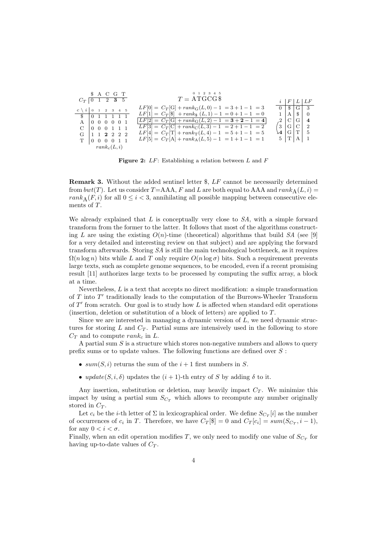| A C G T<br>$C_T$ 0 1 2 3 5                                                          | $0 \t1 \t2 \t3 \t4 \t5$<br>$T = \text{ATGCG}$          | $i \mid F \mid L \mid LF$   |  |
|-------------------------------------------------------------------------------------|--------------------------------------------------------|-----------------------------|--|
| $c \setminus i$ 0 1 2 3 4 5                                                         | $LF[0] = C_T[G] + rank_G(L, 0) - 1 = 3 + 1 - 1 = 3$    | $0 \mid S \mid G \mid 3$    |  |
| $\frac{1}{2}$ $\frac{1}{2}$ $\frac{1}{2}$ $\frac{1}{2}$ $\frac{1}{2}$ $\frac{1}{2}$ | $LF[1] = C_T[\$] + rank_{\$}(L,1) - 1 = 0 + 1 - 1 = 0$ | $1$   A   $\frac{6}{9}$   0 |  |
| $A \mid 0 \; 0 \; 0 \; 0 \; 0 \; 1$                                                 | $ LF[2] = C_T[G] + rank_G(L, 2) - 1 = 3 + 2 - 1 = 4$   | $.2$   C   G   4            |  |
| $C$   0 0 0 1 1 1                                                                   | $LF[3] = C_T[C] + rank_C(L, 3) - 1 = 2 + 1 - 1 = 2$    | 3 G C 2                     |  |
| G 1 1 2 2 2 2                                                                       | $LF[4] = C_T[T] + rank_T(L, 4) - 1 = 5 + 1 - 1 = 5$    | $\mathbf{4}   G   T   5$    |  |
| T   0 0 0 0 1 1                                                                     | $LF[5] = C_T[A] + rank_A(L, 5) - 1 = 1 + 1 - 1 = 1$    | 5  T  A   1                 |  |
| $rank_c(L, i)$                                                                      |                                                        |                             |  |

**Figure 2:**  $LF$ : Establishing a relation between  $L$  and  $F$ 

Remark 3. Without the added sentinel letter \$, LF cannot be necessarily determined from  $bwt(T)$ . Let us consider T=AAA, F and L are both equal to AAA and  $rank_A(L, i)$  = rank<sub>A</sub>(F, i) for all  $0 \le i < 3$ , annihilating all possible mapping between consecutive elements of T.

We already explained that  $L$  is conceptually very close to  $SA$ , with a simple forward transform from the former to the latter. It follows that most of the algorithms constructing L are using the existing  $O(n)$ -time (theoretical) algorithms that build SA (see [9] for a very detailed and interesting review on that subject) and are applying the forward transform afterwards. Storing SA is still the main technological bottleneck, as it requires  $\Omega(n \log n)$  bits while L and T only require  $O(n \log \sigma)$  bits. Such a requirement prevents large texts, such as complete genome sequences, to be encoded, even if a recent promising result [11] authorizes large texts to be processed by computing the suffix array, a block at a time.

Nevertheless, L is a text that accepts no direct modification: a simple transformation of  $T$  into  $T'$  traditionally leads to the computation of the Burrows-Wheeler Transform of  $T'$  from scratch. Our goal is to study how  $L$  is affected when standard edit operations (insertion, deletion or substitution of a block of letters) are applied to T.

Since we are interested in managing a dynamic version of L, we need dynamic structures for storing  $L$  and  $C_T$ . Partial sums are intensively used in the following to store  $C_T$  and to compute rank<sub>c</sub> in L.

A partial sum  $S$  is a structure which stores non-negative numbers and allows to query prefix sums or to update values. The following functions are defined over S :

- sum(S, i) returns the sum of the  $i+1$  first numbers in S.
- update(S, i,  $\delta$ ) updates the  $(i + 1)$ -th entry of S by adding  $\delta$  to it.

Any insertion, substitution or deletion, may heavily impact  $C_T$ . We minimize this impact by using a partial sum  $S_{Cr}$  which allows to recompute any number originally stored in  $C_T$ .

Let  $c_i$  be the *i*-th letter of  $\Sigma$  in lexicographical order. We define  $S_{C_T}[i]$  as the number of occurrences of  $c_i$  in T. Therefore, we have  $C_T[\$\]=0$  and  $C_T[c_i] = \text{sum}(S_{C_T}, i-1)$ , for any  $0 < i < \sigma$ .

Finally, when an edit operation modifies T, we only need to modify one value of  $S_{C_T}$  for having up-to-date values of  $C_T$ .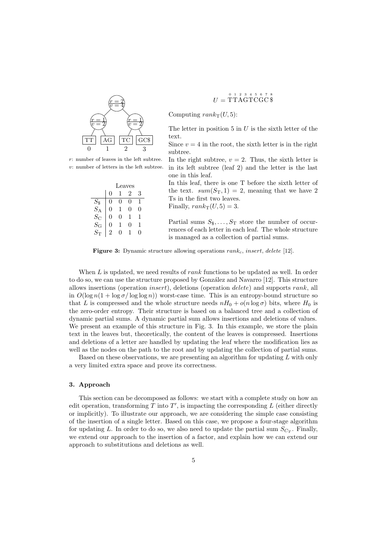

r: number of leaves in the left subtree. v: number of letters in the left subtree.

|                                 | Leaves |   |   |   |  |  |  |
|---------------------------------|--------|---|---|---|--|--|--|
|                                 |        |   | 2 | 3 |  |  |  |
| $\frac{S_{\$}}{S_{\mathrm{A}}}$ | 0      |   | 0 |   |  |  |  |
|                                 | 0      |   | 0 | 0 |  |  |  |
| $S_{\rm C}$                     |        | 0 | 1 | 1 |  |  |  |
| $S_{\rm G}$                     | 0      | 1 | 0 |   |  |  |  |
| $S_{\mathrm{T}}$                | 2      |   |   |   |  |  |  |

$$
U = \overset{\text{o} \text{ 1 2 3 4 5 6 7 8}}{\text{TTAGTCGC $}}
$$

Computing  $rank_{\mathcal{T}}(U, 5)$ :

The letter in position 5 in  $U$  is the sixth letter of the text.

Since  $v = 4$  in the root, the sixth letter is in the right subtree.

In the right subtree,  $v = 2$ . Thus, the sixth letter is in its left subtree (leaf 2) and the letter is the last one in this leaf.

In this leaf, there is one T before the sixth letter of the text.  $sum(S_T, 1) = 2$ , meaning that we have 2 Ts in the first two leaves.

Finally,  $rank_{\rm T}(U, 5) = 3$ .

Partial sums  $S_3, \ldots, S_T$  store the number of occurrences of each letter in each leaf. The whole structure is managed as a collection of partial sums.

Figure 3: Dynamic structure allowing operations  $rank_c$ , insert, delete [12].

When  $L$  is updated, we need results of *rank* functions to be updated as well. In order to do so, we can use the structure proposed by González and Navarro [12]. This structure allows insertions (operation insert), deletions (operation delete) and supports rank, all in  $O(\log n(1 + \log \sigma/\log \log n))$  worst-case time. This is an entropy-bound structure so that L is compressed and the whole structure needs  $nH_0 + o(n \log \sigma)$  bits, where  $H_0$  is the zero-order entropy. Their structure is based on a balanced tree and a collection of dynamic partial sums. A dynamic partial sum allows insertions and deletions of values. We present an example of this structure in Fig. 3. In this example, we store the plain text in the leaves but, theoretically, the content of the leaves is compressed. Insertions and deletions of a letter are handled by updating the leaf where the modification lies as well as the nodes on the path to the root and by updating the collection of partial sums.

Based on these observations, we are presenting an algorithm for updating  $L$  with only a very limited extra space and prove its correctness.

## 3. Approach

This section can be decomposed as follows: we start with a complete study on how an edit operation, transforming  $T$  into  $T'$ , is impacting the corresponding  $L$  (either directly or implicitly). To illustrate our approach, we are considering the simple case consisting of the insertion of a single letter. Based on this case, we propose a four-stage algorithm for updating L. In order to do so, we also need to update the partial sum  $S_{C_T}$ . Finally, we extend our approach to the insertion of a factor, and explain how we can extend our approach to substitutions and deletions as well.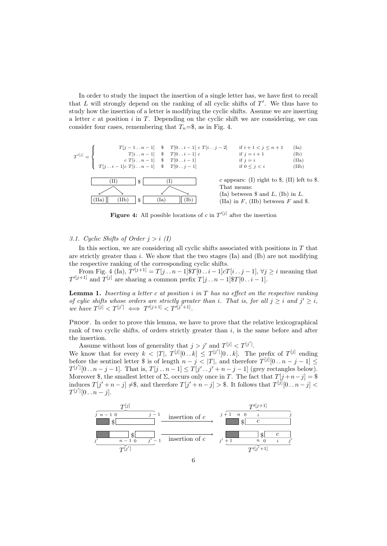In order to study the impact the insertion of a single letter has, we have first to recall that  $L$  will strongly depend on the ranking of all cyclic shifts of  $T'$ . We thus have to study how the insertion of a letter is modifying the cyclic shifts. Assume we are inserting a letter c at position  $i$  in  $T$ . Depending on the cyclic shift we are considering, we can consider four cases, remembering that  $T_n=\$ , as in Fig. 4.



**Figure 4:** All possible locations of c in  $T^{(j)}$  after the insertion

3.1. Cyclic Shifts of Order  $j > i$  (I)

In this section, we are considering all cyclic shifts associated with positions in  $T$  that are strictly greater than  $i$ . We show that the two stages (Ia) and (Ib) are not modifying the respective ranking of the corresponding cyclic shifts.

From Fig. 4 (Ia),  $T^{(j+1)} = T[j \tildot n-1]$   $T[0 \tildot i-1]$   $cT[i \tildot j-1]$ ,  $\forall j \geq i$  meaning that  $T^{j+j-1}$  and  $T^{[j]}$  are sharing a common prefix  $T[j \dots n-1]$ \$ $T[0 \dots i-1]$ .

**Lemma 1.** Inserting a letter c at position i in  $T$  has no effect on the respective ranking of cylic shifts whose orders are strictly greater than i. That is, for all  $j \geq i$  and  $j' \geq i$ , we have  $T^{[j]} < T^{[j']} \iff T^{\prime [j+1]} < T^{\prime [j'+1]}.$ 

PROOF. In order to prove this lemma, we have to prove that the relative lexicographical rank of two cyclic shifts, of orders strictly greater than  $i$ , is the same before and after the insertion.

Assume without loss of generality that  $j > j'$  and  $T^{[j]} < T^{[j']}$ .

We know that for every  $k \leq |T|$ ,  $T^{[j]}[0 \t{k}] \leq T^{[j']}[0 \t{k}]$ . The prefix of  $T^{[j]}$  ending before the sentinel letter \$ is of length  $n - j < |T|$ , and therefore  $T^{[j]}[0 \tildot n - j - 1] \le$  $T^{[j']}[0 \dots n-j-1]$ . That is,  $T[j \dots n-1] \leq T[j' \dots j'+n-j-1]$  (grey rectangles below). Moreover \$, the smallest letter of  $\Sigma$ , occurs only once in T. The fact that  $T[j+n-j] = $$ induces  $T[j'+n-j] \neq \$ , and therefore  $T[j'+n-j] > \$ . It follows that  $T^{[j]}[0..n-j] <$  $T^{[j']}[0 \dots y - j].$ 

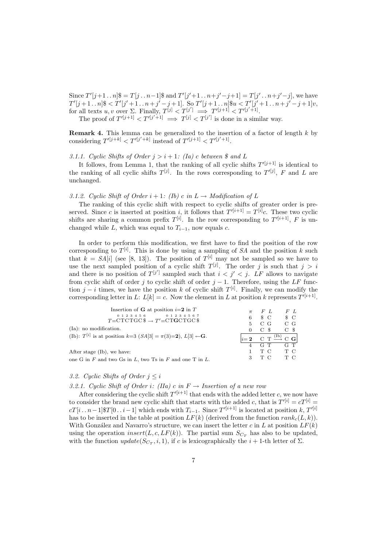Since  $T'[j+1..n]$ \$ =  $T[j..n-1]$ \$ and  $T'[j'+1..n+j'-j+1] = T[j'..n+j'-j]$ , we have  $T'[j+1..n]$ \$ <  $T'[j'+1..n+j'-j+1]$ . So  $T'[j+1..n]$ \$u <  $T'[j'+1..n+j'-j+1]$ v, for all texts  $u, v$  over  $\Sigma$ . Finally,  $T^{[j]} < T^{[j']} \implies T'^{[j+1]} < T'^{[j'+1]}}$ .

The proof of  $T^{\prime [j+1]} < T^{\prime [j^{\prime}+1]} \implies T^{[j]} < T^{[j^{\prime}]}$  is done in a similar way.

**Remark 4.** This lemma can be generalized to the insertion of a factor of length  $k$  by considering  $T^{\prime [j+k]} < T^{\prime [j^\prime+k]}$  instead of  $T^{\prime [j+1]} < T^{\prime [j^\prime+1]}$ .

# 3.1.1. Cyclic Shifts of Order  $j > i + 1$ : (Ia) c between \$ and L

It follows, from Lemma 1, that the ranking of all cyclic shifts  $T^{(j+1)}$  is identical to the ranking of all cyclic shifts  $T^{[j]}$ . In the rows corresponding to  $T^{'[j]}$ , F and L are unchanged.

## 3.1.2. Cyclic Shift of Order  $i + 1$ : (Ib) c in  $L \rightarrow$  Modification of L

The ranking of this cyclic shift with respect to cyclic shifts of greater order is preserved. Since c is inserted at position *i*, it follows that  $T^{'[i+1]} = T^{[i]}c$ . These two cyclic shifts are sharing a common prefix  $T^{[i]}$ . In the row corresponding to  $T^{'[i+1]}$ , F is unchanged while L, which was equal to  $T_{i-1}$ , now equals c.

In order to perform this modification, we first have to find the position of the row corresponding to  $T^{[i]}$ . This is done by using a sampling of SA and the position k such that  $k = SA[i]$  (see [8, 13]). The position of  $T^{[i]}$  may not be sampled so we have to use the next sampled position of a cyclic shift  $T^{[j]}$ . The order j is such that  $j > i$ and there is no position of  $T^{[j']}$  sampled such that  $i < j' < j$ . LF allows to navigate from cyclic shift of order j to cyclic shift of order  $j - 1$ . Therefore, using the LF function  $j - i$  times, we have the position k of cyclic shift  $T^{[i]}$ . Finally, we can modify the corresponding letter in L:  $L[k] = c$ . Now the element in L at position k represents  $T^{\prime[i+1]}$ .

| Insertion of <b>G</b> at position $i=2$ in T                                         |   | $\pi$ FL                                                | $F\ L$           |
|--------------------------------------------------------------------------------------|---|---------------------------------------------------------|------------------|
| $0 1 2 3 4 5 6$ $0 1 2 3 4 5 6 7$<br>$T = CTCTGC$ \$ $\rightarrow$ $T' = CTGCTGC$ \$ | 6 | $S_{\rm C}$                                             | $\mathcal{S}$ C  |
|                                                                                      | 5 | $C_G$                                                   | $\overline{C}$ G |
| (Ia): no modification.                                                               |   | $C_{\rm s}$                                             | $C_{\rm S}$      |
| (Ib): $T^{[i]}$ is at position $k=3$ $(SA[3] = \pi(3)=2)$ , $L[3] \leftarrow G$ .    |   | $i=2$ C T $\stackrel{\text{(Ib)}}{\longrightarrow}$ C G |                  |
|                                                                                      |   | $4$ G T G T                                             |                  |
| After stage (Ib), we have:                                                           |   | тc                                                      | T C              |
| one G in F and two Gs in L, two Ts in F and one T in L.                              | 3 | ТC                                                      | ТC               |

## 3.2. Cyclic Shifts of Order  $j \leq i$

3.2.1. Cyclic Shift of Order i: (IIa) c in  $F \to In$ 

After considering the cyclic shift  $T^{\prime[i+1]}$  that ends with the added letter c, we now have to consider the brand new cyclic shift that starts with the added c, that is  $T^{'[i]} = cT^{[i]} =$  $cT[i \dots n-1]$ \$T[0 $\dots i-1$ ] which ends with  $T_{i-1}$ . Since  $T^{'[i+1]}$  is located at position k,  $T^{'[i]}$ has to be inserted in the table at position  $LF(k)$  (derived from the function  $rank_c(L, k)$ ). With González and Navarro's structure, we can insert the letter c in L at position  $LF(k)$ using the operation insert(L, c, LF(k)). The partial sum  $S_{C_T}$  has also to be updated, with the function  $update(S_{C_T}, i, 1)$ , if c is lexicographically the  $i + 1$ -th letter of  $\Sigma$ .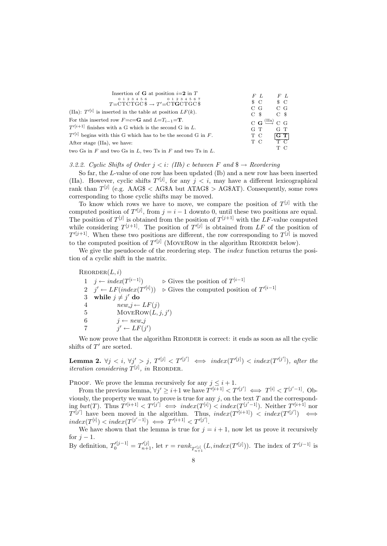| Insertion of <b>G</b> at position $i=2$ in T<br>$0 1 2 3 4 5 6$ $0 1 2 3 4 5 6 7$<br>$T=CTCTGC$ $\Rightarrow$ $T'=CTGCTGC$ $\$ | F L<br>$S_{\rm C}$                                 | F L<br>$\mathcal{S}$ C  |
|--------------------------------------------------------------------------------------------------------------------------------|----------------------------------------------------|-------------------------|
| (IIa): $T'[i]$ is inserted in the table at position $LF(k)$ .                                                                  | $C_G$<br>$C_{\rm s}$                               | $\overline{C}$ G<br>C S |
| For this inserted row $F = c = G$ and $L = T_{i-1} = T$ .<br>$T^{\prime[i+1]}$ finishes with a G which is the second G in L.   | $C G \stackrel{(IIa)}{\longrightarrow} C G$<br>G T | $G$ T                   |
| $T'[i]$ begins with this G which has to be the second G in F.                                                                  | T C                                                | $\frac{G T}{T C}$       |
| After stage (IIa), we have:                                                                                                    | T C                                                |                         |
| two Gs in $F$ and two Gs in $L$ , two Ts in $F$ and two Ts in $L$ .                                                            |                                                    | т с                     |

3.2.2. Cyclic Shifts of Order  $j < i$ : (IIb) c between F and  $\$\rightarrow$  Reordering

So far, the L-value of one row has been updated (Ib) and a new row has been inserted (IIa). However, cyclic shifts  $T^{(j)}$ , for any  $j < i$ , may have a different lexicographical rank than  $T^{[j]}$  (e.g. AAG\$ < AG\$A but ATAG\$ > AG\$AT). Consequently, some rows corresponding to those cyclic shifts may be moved.

To know which rows we have to move, we compare the position of  $T^{[j]}$  with the computed position of  $T^{j}[j]$ , from  $j = i - 1$  downto 0, until these two positions are equal. The position of  $T^{[j]}$  is obtained from the position of  $T^{[j+1]}$  with the LF-value computed while considering  $T^{[j+1]}$ . The position of  $T^{j}[j]$  is obtained from LF of the position of  $T^{(j+1)}$ . When these two positions are different, the row corresponding to  $T^{[j]}$  is moved to the computed position of  $T^{\prime [j]}$  (MOVEROW in the algorithm REORDER below).

We give the pseudocode of the reordering step. The *index* function returns the position of a cyclic shift in the matrix.

 $REORDER(L, i)$ 1  $j \leftarrow index(T^{[i-1]})$  $[i-1]$   $\triangleright$  Gives the position of  $T^{[i-1]}$  $2 \quad j' \leftarrow LF(index(T^{\prime[i]})) \quad \triangleright$  Gives the computed position of  $T^{\prime[i-1]}$ 3 while  $j \neq j'$  do 4  $new_j \leftarrow LF(j)$ 5 MOVEROW $(L, j, j')$ 6  $j \leftarrow new_j$ 7  $j' \leftarrow LF(j')$ 

We now prove that the algorithm REORDER is correct: it ends as soon as all the cyclic shifts of  $T'$  are sorted.

**Lemma 2.**  $\forall j \leq i, \forall j' > j, T^{\prime[j]} \leq T^{\prime[j']} \iff index(T^{\prime[j]}) < index(T^{\prime[j']})$ , after the *iteration considering*  $T^{[j]}$ , *in* REORDER.

PROOF. We prove the lemma recursively for any  $j \leq i + 1$ .

From the previous lemma,  $\forall j' \geq i+1$  we have  $T^{i[i+1]} < T'^{[j']} \iff T^{[i]} < T^{[j'-1]}$ . Obviously, the property we want to prove is true for any  $j$ , on the text  $T$  and the corresponding  $bwt(T)$ . Thus  $T^{\prime[i+1]} < T^{\prime[j']} \iff index(T^{[i]}) < index(T^{[j'-1]})$ . Neither  $T^{\prime[i+1]}$  nor  $T^{l[j']}$  have been moved in the algorithm. Thus,  $index(T^{l[i+1]}) \leq index(T^{l[j']}) \iff$  $index(T^{[i]}) < index(T^{[j'-1]}) \iff T'^{[i+1]} < T'^{[j']}.$ 

We have shown that the lemma is true for  $j = i + 1$ , now let us prove it recursively for  $j-1$ .

By definition,  $T_0^{l[j-1]} = T_{n+1}^{l[j]}$ , let  $r = rank_{T_{n+1}^{l[j]}}(L, index(T^{l[j]}))$ . The index of  $T^{l[j-1]}$  is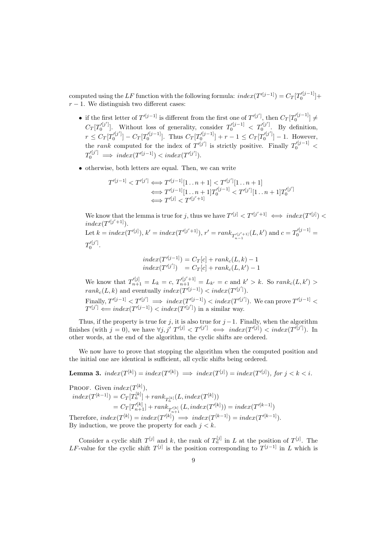computed using the LF function with the following formula:  $index(T^{'[j-1]}) = C_T[T_0^{'[j-1]}]+$  $r - 1$ . We distinguish two different cases:

- if the first letter of  $T^{\prime [j-1]}$  is different from the first one of  $T^{\prime [j']}$ , then  $C_T[T_0^{\prime [j-1]}]\neq$  $\mathbf 0$  $C_T[T_0^{(j)}]$ . Without loss of generality, consider  $T_0^{(j-1)} < T_0^{(j')}$ . By definition,  $r \leq C_T[T_0'^{[j']}] - C_T[T_0'^{[j-1]}]$ . Thus  $C_T[T_0'^{[j-1]}] + r - 1 \leq C_T[T_0'^{[j']}] - 1$ . However, the rank computed for the index of  $T^{\prime [j']}$  is strictly positive. Finally  $T_0^{\prime [j-1]}$  <  $T_0^{\prime[j^\prime]} \implies index(T^{\prime[j-1]}) < index(T^{\prime[j^\prime]}).$
- otherwise, both letters are equal. Then, we can write

$$
T'^{[j-1]} < T'^{[j']} \Longleftrightarrow T'^{[j-1]}[1 \dots n+1] < T'^{[j']}[1 \dots n+1] \\
\Longleftrightarrow T'^{[j-1]}[1 \dots n+1]T'^{[j-1]}_0 < T'^{[j']}[1 \dots n+1]T'^{[j']}_0 \\
\Longleftrightarrow T'^{[j]} < T'^{[j'+1]}
$$

We know that the lemma is true for j, thus we have  $T^{'[j]} < T'^{[j'+1]} \iff index(T'^{[j]}) <$  $index(T'^{[j'+1]})$ .

Let  $k = index(T'^{[j]}), k' = index(T'^{[j'+1]}), r' = rank_{T'^{[j'+1]}_{n-1}}(L, k')$  and  $c = T'^{[j-1]}_0 =$  $T_0^{\prime [j']}$ .

$$
index(T'^{[j-1]}) = C_T[c] + rank_c(L, k) - 1
$$
  

$$
index(T'^{[j']}) = C_T[c] + rank_c(L, k') - 1
$$

We know that  $T'^{[j]}_{n+1} = L_k = c$ ,  $T'^{[j'+1]}_{n+1} = L_{k'} = c$  and  $k' > k$ . So  $rank_c(L, k') >$  $rank_c(L, k)$  and eventually  $index(T'^{[j-1]}) < index(T'^{[j']})$ . Finally,  $T^{\prime [j-1]} < T^{\prime [j']} \implies index(T^{\prime [j-1]}) < index(T^{\prime [j']}).$  We can prove  $T^{\prime [j-1]} <$  $T^{\prime [j']} \Longleftarrow index(T^{\prime [j-1]}) < index(T^{\prime [j'])}$  in a similar way.

Thus, if the property is true for j, it is also true for  $j-1$ . Finally, when the algorithm finishes (with  $j = 0$ ), we have  $\forall j, j'$   $T'^{[j]} < T'^{[j']}$   $\iff$   $index(T'^{[j]}) < index(T'^{[j']})$ . In other words, at the end of the algorithm, the cyclic shifts are ordered.

We now have to prove that stopping the algorithm when the computed position and the initial one are identical is sufficient, all cyclic shifts being ordered.

**Lemma 3.**  $index(T^{[k]}) = index(T'^{[k]}) \implies index(T^{[j]}) = index(T'^{[j]}),$  for  $j < k < i$ .

PROOF. Given  $index(T^{[k]})$ ,  $index(T^{[k-1]}) = C_T[T_n^{[k]}] + rank_{T_n^{[k]}}(L, index(T^{[k]}))$  $=\overline{C_T}[T^{(k)}_{n+1}] + rank_{T^{(k)}_{n+1}}(L, index(T'^{[k]})) = index(T'^{[k-1]})$ Therefore,  $index(T^{[k]}) = index(T'^{[k]}) \implies index(T^{[k-1]}) = index(T'^{[k-1]}).$ By induction, we prove the property for each  $j < k$ .

Consider a cyclic shift  $T^{[j]}$  and k, the rank of  $T_n^{[j]}$  in L at the position of  $T^{[j]}$ . The LF-value for the cyclic shift  $T^{[j]}$  is the position corresponding to  $T^{[j-1]}$  in L which is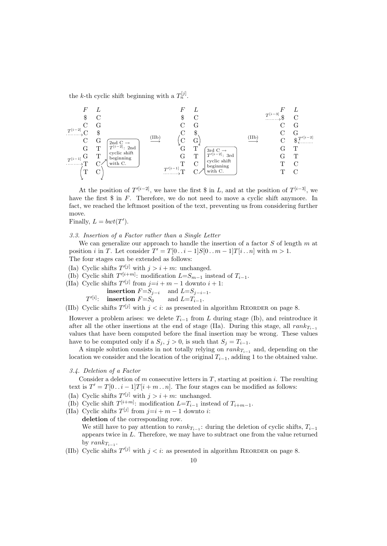the k-th cyclic shift beginning with a  $T_n^{[j]}$ .

F L \$ C C G C \$ C G G T G T T C T C (IIb) −→ F L \$ C C G C \$ C G G T G T T C T C (IIb) −→ F L \$ C C G C G C \$ G T G T T C T C T [i−2] T [i−1] 2nd C → T [i−2] : 2nd cyclic shift beginning with C. T 0[i−1] 3rd C → T <sup>0</sup>[i−2] : 3rd cyclic shift beginning with C. T 0[i−2] T [i−3]

At the position of  $T^{i[i-2]}$ , we have the first \$ in L, and at the position of  $T^{[i-3]}$ , we have the first \$ in F. Therefore, we do not need to move a cyclic shift anymore. In fact, we reached the leftmost position of the text, preventing us from considering further move.

Finally,  $L = bwt(T')$ .

## 3.3. Insertion of a Factor rather than a Single Letter

We can generalize our approach to handle the insertion of a factor  $S$  of length  $m$  at position *i* in T. Let consider  $T' = T[0 \tildot i - 1]S[0 \tildot m - 1]T[i \tildot n]$  with  $m > 1$ . The four stages can be extended as follows:

- (Ia) Cyclic shifts  $T^{\prime [j]}$  with  $j > i + m$ : unchanged.
- (Ib) Cyclic shift  $T^{\prime[i+m]}$ : modification  $L=S_{m-1}$  instead of  $T_{i-1}$ .
- (IIa) Cyclic shifts  $T^{(j)}$  from  $j=i+m-1$  downto  $i+1$ :

insertion  $F=S_{j-i}$  and  $L=S_{j-i-1}$ .  $T^{\prime[i]}\colon\quad\text{insertion}\ F\text{=}S_0\qquad\text{and}\ L\text{=}T_{i-1}.$ 

(IIb) Cyclic shifts  $T^{\prime [j]}$  with  $j < i$ : as presented in algorithm REORDER on page 8.

However a problem arises: we delete  $T_{i-1}$  from L during stage (Ib), and reintroduce it after all the other insertions at the end of stage (IIa). During this stage, all  $rank_{T_{i-1}}$ values that have been computed before the final insertion may be wrong. These values have to be computed only if a  $S_j$ ,  $j > 0$ , is such that  $S_j = T_{i-1}$ .

A simple solution consists in not totally relying on  $rank_{T_{i-1}}$  and, depending on the location we consider and the location of the original  $T_{i-1}$ , adding 1 to the obtained value.

#### 3.4. Deletion of a Factor

Consider a deletion of  $m$  consecutive letters in  $T$ , starting at position  $i$ . The resulting text is  $T' = T[0 \dots i - 1]T[i + m \dots n]$ . The four stages can be modified as follows:

- (Ia) Cyclic shifts  $T^{\prime [j]}$  with  $j > i + m$ : unchanged.
- (Ib) Cyclic shift  $T^{[i+m]}$ : modification  $L=T_{i-1}$  instead of  $T_{i+m-1}$ .
- (IIa) Cyclic shifts  $T^{[j]}$  from  $j=i+m-1$  downto i:

deletion of the corresponding row. We still have to pay attention to  $rank_{T_{i-1}}$ : during the deletion of cyclic shifts,  $T_{i-1}$ appears twice in L. Therefore, we may have to subtract one from the value returned by  $rank_{T_{i-1}}$ .

(IIb) Cyclic shifts  $T^{\prime [j]}$  with  $j < i$ : as presented in algorithm REORDER on page 8.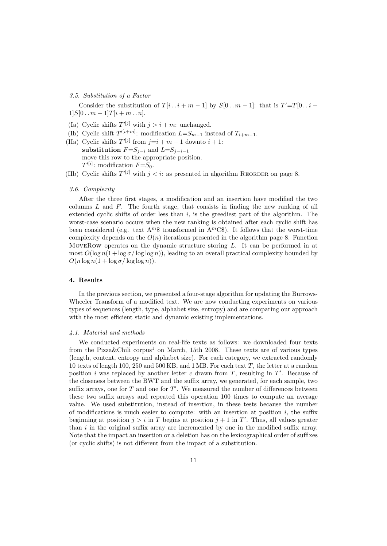## 3.5. Substitution of a Factor

Consider the substitution of  $T[i \dots i + m - 1]$  by  $S[0 \dots m - 1]$ : that is  $T' = T[0 \dots i 1|S[0 \dots m-1]T[i+m \dots n].$ 

- (Ia) Cyclic shifts  $T^{\prime [j]}$  with  $j > i + m$ : unchanged.
- (Ib) Cyclic shift  $T^{(i+m)}$ : modification  $L=S_{m-1}$  instead of  $T_{i+m-1}$ .
- (IIa) Cyclic shifts  $T^{(j)}$  from  $j=i+m-1$  downto  $i+1$ : substitution  $F=S_{j-i}$  and  $L=S_{j-i-1}$ move this row to the appropriate position.  $T'[i]$ : modification  $F = S_0$ .
- (IIb) Cyclic shifts  $T^{\prime [j]}$  with  $j < i$ : as presented in algorithm REORDER on page 8.

# 3.6. Complexity

After the three first stages, a modification and an insertion have modified the two columns  $L$  and  $F$ . The fourth stage, that consists in finding the new ranking of all extended cyclic shifts of order less than  $i$ , is the greediest part of the algorithm. The worst-case scenario occurs when the new ranking is obtained after each cyclic shift has been considered (e.g. text  $A^{m}\$  transformed in  $A^{m}C\$ ). It follows that the worst-time complexity depends on the  $O(n)$  iterations presented in the algorithm page 8. Function MoveRow operates on the dynamic structure storing L. It can be performed in at most  $O(\log n(1+\log \sigma/\log \log n))$ , leading to an overall practical complexity bounded by  $O(n \log n(1 + \log \sigma / \log \log n)).$ 

# 4. Results

In the previous section, we presented a four-stage algorithm for updating the Burrows-Wheeler Transform of a modified text. We are now conducting experiments on various types of sequences (length, type, alphabet size, entropy) and are comparing our approach with the most efficient static and dynamic existing implementations.

# 4.1. Material and methods

We conducted experiments on real-life texts as follows: we downloaded four texts from the Pizza&Chili corpus<sup>1</sup> on March, 15th 2008. These texts are of various types (length, content, entropy and alphabet size). For each category, we extracted randomly 10 texts of length 100, 250 and 500 KB, and 1 MB. For each text T, the letter at a random position i was replaced by another letter  $c$  drawn from  $T$ , resulting in  $T'$ . Because of the closeness between the BWT and the suffix array, we generated, for each sample, two suffix arrays, one for  $T$  and one for  $T'$ . We measured the number of differences between these two suffix arrays and repeated this operation 100 times to compute an average value. We used substitution, instead of insertion, in these tests because the number of modifications is much easier to compute: with an insertion at position  $i$ , the suffix beginning at position  $j > i$  in T begins at position  $j + 1$  in T'. Thus, all values greater than  $i$  in the original suffix array are incremented by one in the modified suffix array. Note that the impact an insertion or a deletion has on the lexicographical order of suffixes (or cyclic shifts) is not different from the impact of a substitution.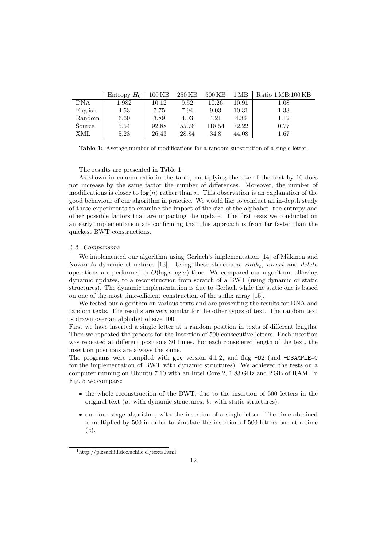|            | Entropy $H_0$ | $100\,\mathrm{KB}$ | 250 KB | $500\,\mathrm{KB}$ | $1\,\mathrm{MB}$ | Ratio 1 MB:100 KB |
|------------|---------------|--------------------|--------|--------------------|------------------|-------------------|
| <b>DNA</b> | 1.982         | 10.12              | 9.52   | 10.26              | 10.91            | 1.08              |
| English    | 4.53          | 7.75               | 7.94   | 9.03               | 10.31            | 1.33              |
| Random     | 6.60          | 3.89               | 4.03   | 4.21               | 4.36             | 1.12              |
| Source     | 5.54          | 92.88              | 55.76  | 118.54             | 72.22            | 0.77              |
| XML        | 5.23          | 26.43              | 28.84  | 34.8               | 44.08            | 1.67              |

Table 1: Average number of modifications for a random substitution of a single letter.

The results are presented in Table 1.

As shown in column ratio in the table, multiplying the size of the text by 10 does not increase by the same factor the number of differences. Moreover, the number of modifications is closer to  $log(n)$  rather than n. This observation is an explanation of the good behaviour of our algorithm in practice. We would like to conduct an in-depth study of these experiments to examine the impact of the size of the alphabet, the entropy and other possible factors that are impacting the update. The first tests we conducted on an early implementation are confirming that this approach is from far faster than the quickest BWT constructions.

## 4.2. Comparisons

We implemented our algorithm using Gerlach's implementation [14] of Mäkinen and Navarro's dynamic structures [13]. Using these structures,  $rank_c$ , insert and delete operations are performed in  $O(\log n \log \sigma)$  time. We compared our algorithm, allowing dynamic updates, to a reconstruction from scratch of a BWT (using dynamic or static structures). The dynamic implementation is due to Gerlach while the static one is based on one of the most time-efficient construction of the suffix array [15].

We tested our algorithm on various texts and are presenting the results for DNA and random texts. The results are very similar for the other types of text. The random text is drawn over an alphabet of size 100.

First we have inserted a single letter at a random position in texts of different lengths. Then we repeated the process for the insertion of 500 consecutive letters. Each insertion was repeated at different positions 30 times. For each considered length of the text, the insertion positions are always the same.

The programs were compiled with gcc version 4.1.2, and flag  $\neg$ 02 (and  $\neg$ DSAMPLE=0 for the implementation of BWT with dynamic structures). We achieved the tests on a computer running on Ubuntu 7.10 with an Intel Core 2, 1.83 GHz and 2 GB of RAM. In Fig. 5 we compare:

- the whole reconstruction of the BWT, due to the insertion of 500 letters in the original text (a: with dynamic structures; b: with static structures).
- our four-stage algorithm, with the insertion of a single letter. The time obtained is multiplied by 500 in order to simulate the insertion of 500 letters one at a time  $(c).$

<sup>1</sup>http://pizzachili.dcc.uchile.cl/texts.html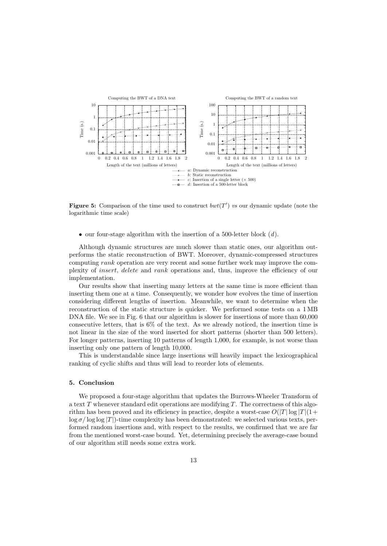

Figure 5: Comparison of the time used to construct  $bwt(T')$  vs our dynamic update (note the logarithmic time scale)

• our four-stage algorithm with the insertion of a 500-letter block  $(d)$ .

Although dynamic structures are much slower than static ones, our algorithm outperforms the static reconstruction of BWT. Moreover, dynamic-compressed structures computing rank operation are very recent and some further work may improve the complexity of insert, delete and rank operations and, thus, improve the efficiency of our implementation.

Our results show that inserting many letters at the same time is more efficient than inserting them one at a time. Consequently, we wonder how evolves the time of insertion considering different lengths of insertion. Meanwhile, we want to determine when the reconstruction of the static structure is quicker. We performed some tests on a 1 MB DNA file. We see in Fig. 6 that our algorithm is slower for insertions of more than 60,000 consecutive letters, that is 6% of the text. As we already noticed, the insertion time is not linear in the size of the word inserted for short patterns (shorter than 500 letters). For longer patterns, inserting 10 patterns of length 1,000, for example, is not worse than inserting only one pattern of length 10,000.

This is understandable since large insertions will heavily impact the lexicographical ranking of cyclic shifts and thus will lead to reorder lots of elements.

# 5. Conclusion

We proposed a four-stage algorithm that updates the Burrows-Wheeler Transform of a text  $T$  whenever standard edit operations are modifying  $T$ . The correctness of this algorithm has been proved and its efficiency in practice, despite a worst-case  $O(|T| \log |T| (1+\epsilon))$  $\log \sigma / \log \log |T|$ )-time complexity has been demonstrated: we selected various texts, performed random insertions and, with respect to the results, we confirmed that we are far from the mentioned worst-case bound. Yet, determining precisely the average-case bound of our algorithm still needs some extra work.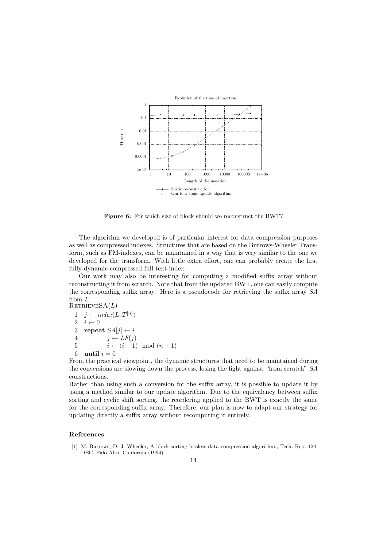

Figure 6: For which size of block should we reconstruct the BWT?

The algorithm we developed is of particular interest for data compression purposes as well as compressed indexes. Structures that are based on the Burrows-Wheeler Transform, such as FM-indexes, can be maintained in a way that is very similar to the one we developed for the transform. With little extra effort, one can probably create the first fully-dynamic compressed full-text index.

Our work may also be interesting for computing a modified suffix array without reconstructing it from scratch. Note that from the updated BWT, one can easily compute the corresponding suffix array. Here is a pseudocode for retrieving the suffix array SA from L:  $RETRIEVESA(L)$ 

 $1 \quad j \leftarrow \text{index}(L, T^{[n]})$ 2  $i \leftarrow 0$ 3 repeat  $SA[j] \leftarrow i$ 4  $j \leftarrow LF(j)$ 5  $i \leftarrow (i-1) \mod (n+1)$ 6 until  $i = 0$ 

From the practical viewpoint, the dynamic structures that need to be maintained during the conversions are slowing down the process, losing the fight against "from scratch" SA constructions.

Rather than using such a conversion for the suffix array, it is possible to update it by using a method similar to our update algorithm. Due to the equivalency between suffix sorting and cyclic shift sorting, the reordering applied to the BWT is exactly the same for the corresponding suffix array. Therefore, our plan is now to adapt our strategy for updating directly a suffix array without recomputing it entirely.

#### References

[1] M. Burrows, D. J. Wheeler, A block-sorting lossless data compression algorithm., Tech. Rep. 124, DEC, Palo Alto, California (1994).